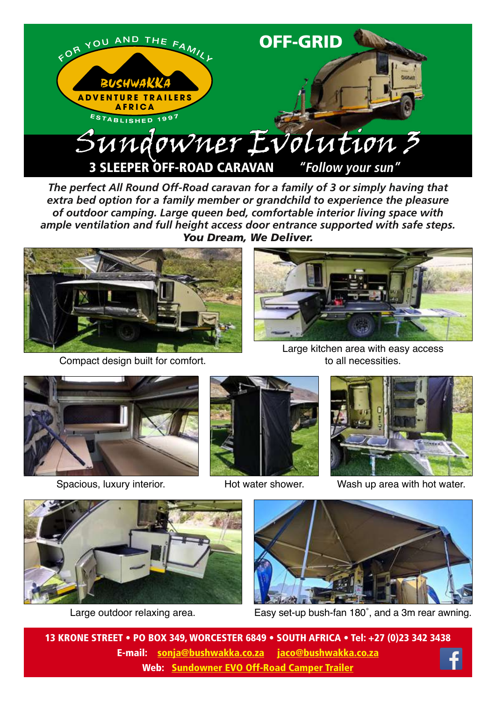

*The perfect All Round Off-Road caravan for a family of 3 or simply having that extra bed option for a family member or grandchild to experience the pleasure of outdoor camping. Large queen bed, comfortable interior living space with ample ventilation and full height access door entrance supported with safe steps. You Dream, We Deliver.*



Compact design built for comfort.



Large kitchen area with easy access to all necessities.





Hot water shower.



Spacious, luxury interior. Hot water shower. Wash up area with hot water.



Large outdoor relaxing area.



Easy set-up bush-fan 180˚, and a 3m rear awning.

13 KRONE STREET • PO BOX 349, WORCESTER 6849 • SOUTH AFRICA • Tel: +27 (0)23 342 3438 E-mail: sonja@bushwakka.co.za jaco@bushwakka.co.za Web: [Sundowner EVO Off-Road Camper Trailer](https://bushwakka.co.za/sundowner-evo-off-road-camper/?utm_source=website&utm_medium=ebrochure&utm_campaign=sd-evo&utm_id=SD+EVO)